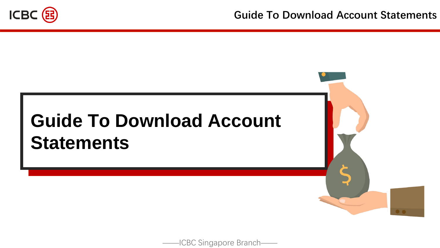

——ICBC Singapore Branch——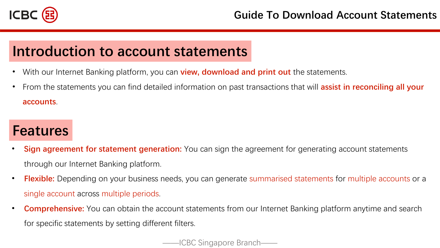

## **Introduction to account statements**

- With our Internet Banking platform, you can **view, download and print out** the statements.
- From the statements you can find detailed information on past transactions that will **assist in reconciling all your accounts**.

## **Features**

- **Sign agreement for statement generation:** You can sign the agreement for generating account statements through our Internet Banking platform.
- **Flexible:** Depending on your business needs, you can generate summarised statements for multiple accounts or a single account across multiple periods.
- **Comprehensive:** You can obtain the account statements from our Internet Banking platform anytime and search for specific statements by setting different filters.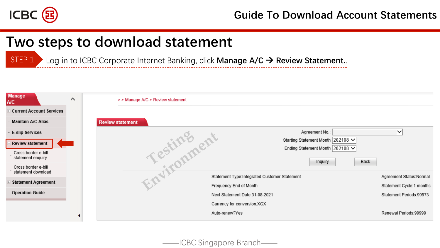

## **Two steps to download statement**

STEP 1 Log in to ICBC Corporate Internet Banking, click **Manage A/C** → **Review Statement.**.

| <b>Manage</b><br><b>A/C</b>               | $\wedge$ | > > Manage A/C > Review statement |            |                                              |                                   |                          |
|-------------------------------------------|----------|-----------------------------------|------------|----------------------------------------------|-----------------------------------|--------------------------|
| <b>E Current Account Services</b>         |          |                                   |            |                                              |                                   |                          |
| - Maintain A/C Alias                      |          | <b>Review statement</b>           |            |                                              |                                   |                          |
| E-slip Services                           |          |                                   |            |                                              | Agreement No.:                    | $\checkmark$             |
| <b>Review statement</b>                   |          |                                   | Testingent |                                              | Starting Statement Month 202108 V |                          |
| Cross border e-bill                       |          |                                   |            |                                              | Ending Statement Month 202108 V   |                          |
| statement enquiry                         |          |                                   |            |                                              | Back<br>Inquiry                   |                          |
| Cross border e-bill<br>statement download |          |                                   |            |                                              |                                   |                          |
|                                           |          |                                   |            | Statement Type:Integrated Customer Statement |                                   | Agreement Status: Normal |
| E Statement Agreement                     |          |                                   |            | Frequency:End of Month                       |                                   | Statement Cycle:1 months |
| - Operation Guide                         |          |                                   |            | Next Statement Date:31-08-2021               |                                   | Statement Periods:99973  |
|                                           |          |                                   |            | Currency for conversion:XGX                  |                                   |                          |
|                                           |          |                                   |            | Auto-renew?Yes                               |                                   | Renewal Periods:99999    |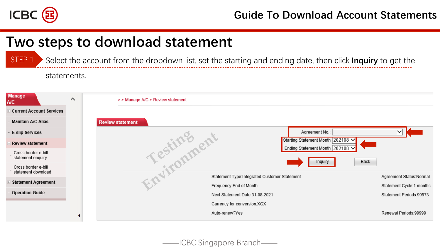

## **Two steps to download statement**

Select the account from the dropdown list, set the starting and ending date, then click **Inquiry** to get the STEP 1

#### statements.

| <b>Manage</b><br><b>A/C</b><br><b>E</b> Current Account Services | $\wedge$ | > > Manage A/C > Review statement            |                                                                      |
|------------------------------------------------------------------|----------|----------------------------------------------|----------------------------------------------------------------------|
| <b>Maintain A/C Alias</b>                                        |          | <b>Review statement</b>                      |                                                                      |
| - E-slip Services                                                |          |                                              | Agreement No.:                                                       |
| <b>Review statement</b>                                          |          |                                              | Starting Statement Month 202108 V<br>Ending Statement Month 202108 V |
| Cross border e-bill<br>statement enquiry                         |          | Testingent                                   | Back<br>Inquiry                                                      |
| Cross border e-bill<br>statement download                        |          |                                              |                                                                      |
|                                                                  |          | Statement Type:Integrated Customer Statement | Agreement Status: Normal                                             |
| + Statement Agreement                                            |          | Frequency: End of Month                      | Statement Cycle:1 months                                             |
| - Operation Guide                                                |          | Next Statement Date: 31-08-2021              | Statement Periods:99973                                              |
|                                                                  |          | Currency for conversion:XGX                  |                                                                      |
|                                                                  |          | Auto-renew?Yes                               | Renewal Periods:99999                                                |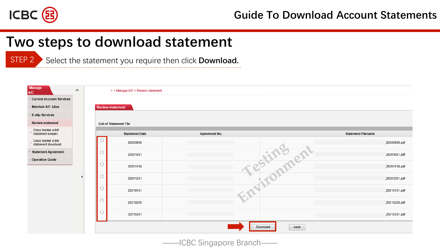

## **Two steps to download statement**

**STEP 2** Select the statement you require then click **Download.** 

| <b>Manage</b><br><b>A/C</b>                | $\wedge$ | > > Manage A/C > Review statement |                         |                               |               |                  |                           |
|--------------------------------------------|----------|-----------------------------------|-------------------------|-------------------------------|---------------|------------------|---------------------------|
| <b>E</b> Current Account Services          |          |                                   |                         |                               |               |                  |                           |
| Maintain A/C Alias                         |          |                                   | <b>Review statement</b> |                               |               |                  |                           |
| - E-slip Services                          |          |                                   |                         |                               |               |                  |                           |
| <b>Review statement</b>                    |          |                                   |                         | <b>List of Statement File</b> |               |                  |                           |
| Cross border e-bill<br>- statement enquiry |          |                                   |                         | <b>Statement Date</b>         | Agreement No. |                  | <b>Statement Filename</b> |
| Cross border e-bill<br>statement download  |          |                                   | $\circ$                 | 20200930                      |               |                  | 20200930.pdf              |
| + Statement Agreement                      |          |                                   | $\circ$                 | 20201031                      |               |                  | 20201031.pdf              |
| - Operation Guide                          |          |                                   | $\circ$                 | 20201130                      |               |                  | 20201130.pdf              |
|                                            |          |                                   | $\circ$                 | 20201231                      |               | Testimaent       | 20201231.pdf              |
|                                            |          |                                   | $\circ$                 | 20210131                      |               |                  | 20210131.pdf              |
|                                            |          |                                   | $\circ$                 | 20210228                      |               |                  | 20210228.pdf              |
|                                            |          |                                   | $\circ$                 | 20210331                      |               |                  | 20210331.pdf              |
|                                            |          |                                   |                         |                               |               | back<br>Download |                           |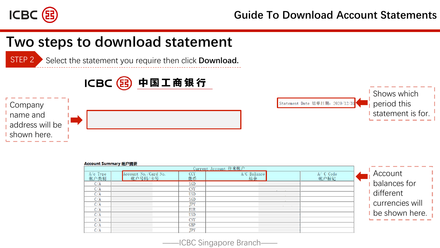

## **Two steps to download statement**

STEP 2 Select the statement you require then click **Download.** 







#### Account Summary 帐户摘要

|                  | $\frac{1}{2}$         |            |                      |          |                  |
|------------------|-----------------------|------------|----------------------|----------|------------------|
|                  |                       |            | Current Account 往来帐户 |          |                  |
|                  | Account No. /Card No. | <b>CCY</b> |                      | A/C Code | Account          |
| A/c Type<br>帐户类别 | 帐户号码/卡号               | 货币         | A/C Balance          | 帐户标记     |                  |
| C/A              |                       | SGD        |                      |          | balances for     |
| C/A              |                       | CNY        |                      |          |                  |
|                  |                       |            |                      |          | different        |
| C/A              |                       | <b>USD</b> |                      |          |                  |
| C/A              |                       | SGD        |                      |          |                  |
| C/A              |                       | JPY        |                      |          | currencies will  |
| C/A              |                       | EUR        |                      |          |                  |
| C/A              |                       | <b>USD</b> |                      |          | t be shown here. |
| C/A              |                       | <b>CNY</b> |                      |          |                  |
| C/A              |                       | GBP        |                      |          |                  |
| C/A              |                       | <b>JPY</b> |                      |          |                  |

——ICBC Singapore Branch——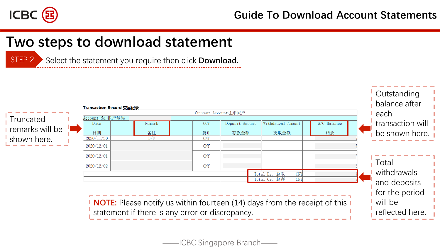

## **Two steps to download statement**

STEP 2 Select the statement you require then click **Download.**